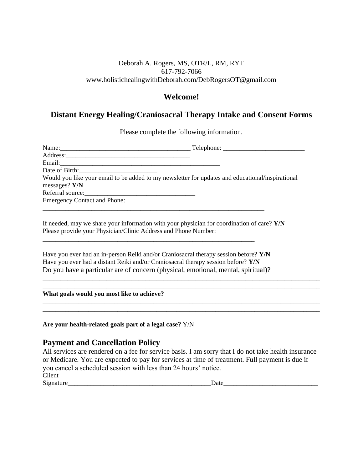#### Deborah A. Rogers, MS, OTR/L, RM, RYT 617-792-7066 www.holistichealingwithDeborah.com/DebRogersOT@gmail.com

## **Welcome!**

## **Distant Energy Healing/Craniosacral Therapy Intake and Consent Forms**

Please complete the following information.

| Address:                                                                                         |  |
|--------------------------------------------------------------------------------------------------|--|
| Email:                                                                                           |  |
| Date of Birth:                                                                                   |  |
| Would you like your email to be added to my newsletter for updates and educational/inspirational |  |
| messages? Y/N                                                                                    |  |
|                                                                                                  |  |
| <b>Emergency Contact and Phone:</b>                                                              |  |
|                                                                                                  |  |
|                                                                                                  |  |

If needed, may we share your information with your physician for coordination of care? **Y/N**  Please provide your Physician/Clinic Address and Phone Number:

Have you ever had an in-person Reiki and/or Craniosacral therapy session before? **Y/N**  Have you ever had a distant Reiki and/or Craniosacral therapy session before? **Y/N**  Do you have a particular are of concern (physical, emotional, mental, spiritual)?

\_\_\_\_\_\_\_\_\_\_\_\_\_\_\_\_\_\_\_\_\_\_\_\_\_\_\_\_\_\_\_\_\_\_\_\_\_\_\_\_\_\_\_\_\_\_\_\_\_\_\_\_\_\_\_\_\_\_\_\_\_\_\_\_\_

\_\_\_\_\_\_\_\_\_\_\_\_\_\_\_\_\_\_\_\_\_\_\_\_\_\_\_\_\_\_\_\_\_\_\_\_\_\_\_\_\_\_\_\_\_\_\_\_\_\_\_\_\_\_\_\_\_\_\_\_\_\_\_\_\_\_\_\_\_\_\_\_\_\_\_\_\_\_ **What goals would you most like to achieve?** 

**Are your health-related goals part of a legal case?** Y/N

# **Payment and Cancellation Policy**

All services are rendered on a fee for service basis. I am sorry that I do not take health insurance or Medicare. You are expected to pay for services at time of treatment. Full payment is due if you cancel a scheduled session with less than 24 hours' notice. Client Signature\_\_\_\_\_\_\_\_\_\_\_\_\_\_\_\_\_\_\_\_\_\_\_\_\_\_\_\_\_\_\_\_\_\_\_\_\_\_\_\_\_\_\_\_Date\_\_\_\_\_\_\_\_\_\_\_\_\_\_\_\_\_\_\_\_\_\_\_\_\_\_\_\_\_

\_\_\_\_\_\_\_\_\_\_\_\_\_\_\_\_\_\_\_\_\_\_\_\_\_\_\_\_\_\_\_\_\_\_\_\_\_\_\_\_\_\_\_\_\_\_\_\_\_\_\_\_\_\_\_\_\_\_\_\_\_\_\_\_\_\_\_\_\_\_\_\_\_\_\_\_\_\_

\_\_\_\_\_\_\_\_\_\_\_\_\_\_\_\_\_\_\_\_\_\_\_\_\_\_\_\_\_\_\_\_\_\_\_\_\_\_\_\_\_\_\_\_\_\_\_\_\_\_\_\_\_\_\_\_\_\_\_\_\_\_\_\_\_\_\_\_\_\_\_\_\_\_\_\_\_\_\_\_\_\_\_\_\_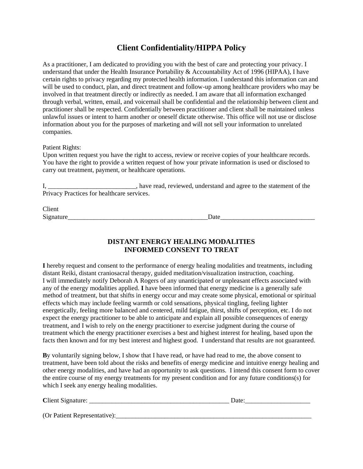# **Client Confidentiality/HIPPA Policy**

As a practitioner, I am dedicated to providing you with the best of care and protecting your privacy. I understand that under the Health Insurance Portability & Accountability Act of 1996 (HIPAA), I have certain rights to privacy regarding my protected health information. I understand this information can and will be used to conduct, plan, and direct treatment and follow-up among healthcare providers who may be involved in that treatment directly or indirectly as needed. I am aware that all information exchanged through verbal, written, email, and voicemail shall be confidential and the relationship between client and practitioner shall be respected. Confidentially between practitioner and client shall be maintained unless unlawful issues or intent to harm another or oneself dictate otherwise. This office will not use or disclose information about you for the purposes of marketing and will not sell your information to unrelated companies.

#### Patient Rights:

Upon written request you have the right to access, review or receive copies of your healthcare records. You have the right to provide a written request of how your private information is used or disclosed to carry out treatment, payment, or healthcare operations.

I, \_\_\_\_\_\_\_\_\_\_\_\_\_\_\_\_\_\_\_\_\_\_\_\_\_\_\_\_\_, have read, reviewed, understand and agree to the statement of the Privacy Practices for healthcare services.

Client Signature Date

#### **DISTANT ENERGY HEALING MODALITIES INFORMED CONSENT TO TREAT**

**I** hereby request and consent to the performance of energy healing modalities and treatments, including distant Reiki, distant craniosacral therapy, guided meditation/visualization instruction, coaching. I will immediately notify Deborah A Rogers of any unanticipated or unpleasant effects associated with any of the energy modalities applied. **I** have been informed that energy medicine is a generally safe method of treatment, but that shifts in energy occur and may create some physical, emotional or spiritual effects which may include feeling warmth or cold sensations, physical tingling, feeling lighter energetically, feeling more balanced and centered, mild fatigue, thirst, shifts of perception, etc. I do not expect the energy practitioner to be able to anticipate and explain all possible consequences of energy treatment, and I wish to rely on the energy practitioner to exercise judgment during the course of treatment which the energy practitioner exercises a best and highest interest for healing, based upon the facts then known and for my best interest and highest good. I understand that results are not guaranteed.

**B**y voluntarily signing below, I show that I have read, or have had read to me, the above consent to treatment, have been told about the risks and benefits of energy medicine and intuitive energy healing and other energy modalities, and have had an opportunity to ask questions. I intend this consent form to cover the entire course of my energy treatments for my present condition and for any future conditions(s) for which I seek any energy healing modalities.

| Client Signature:            | Date: |
|------------------------------|-------|
|                              |       |
| (Or Patient Representative): |       |